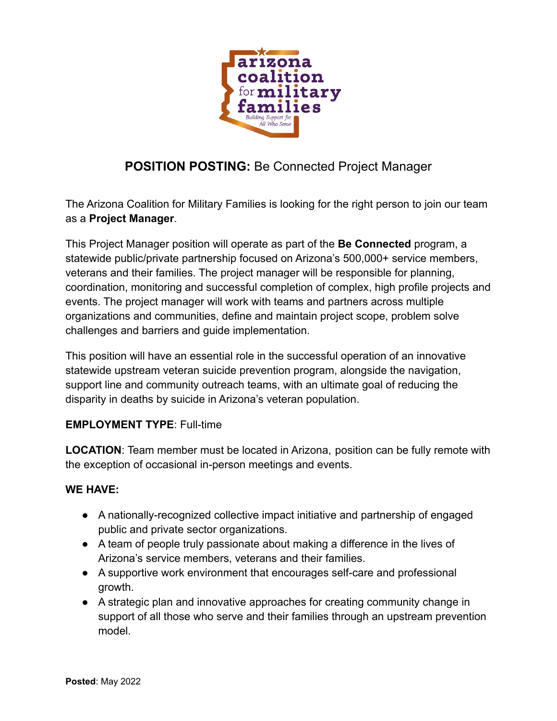

# **POSITION POSTING:** Be Connected Project Manager

The Arizona Coalition for Military Families is looking for the right person to join our team as a **Project Manager**.

This Project Manager position will operate as part of the **Be Connected** program, a statewide public/private partnership focused on Arizona's 500,000+ service members, veterans and their families. The project manager will be responsible for planning, coordination, monitoring and successful completion of complex, high profile projects and events. The project manager will work with teams and partners across multiple organizations and communities, define and maintain project scope, problem solve challenges and barriers and guide implementation.

This position will have an essential role in the successful operation of an innovative statewide upstream veteran suicide prevention program, alongside the navigation, support line and community outreach teams, with an ultimate goal of reducing the disparity in deaths by suicide in Arizona's veteran population.

#### **EMPLOYMENT TYPE**: Full-time

**LOCATION**: Team member must be located in Arizona, position can be fully remote with the exception of occasional in-person meetings and events.

#### **WE HAVE:**

- A nationally-recognized collective impact initiative and partnership of engaged public and private sector organizations.
- A team of people truly passionate about making a difference in the lives of Arizona's service members, veterans and their families.
- A supportive work environment that encourages self-care and professional growth.
- A strategic plan and innovative approaches for creating community change in support of all those who serve and their families through an upstream prevention model.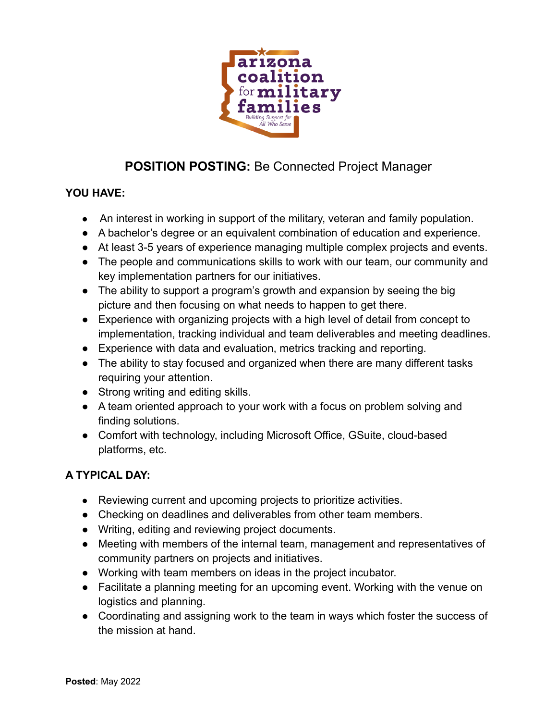

# **POSITION POSTING:** Be Connected Project Manager

### **YOU HAVE:**

- An interest in working in support of the military, veteran and family population.
- A bachelor's degree or an equivalent combination of education and experience.
- At least 3-5 years of experience managing multiple complex projects and events.
- The people and communications skills to work with our team, our community and key implementation partners for our initiatives.
- The ability to support a program's growth and expansion by seeing the big picture and then focusing on what needs to happen to get there.
- Experience with organizing projects with a high level of detail from concept to implementation, tracking individual and team deliverables and meeting deadlines.
- Experience with data and evaluation, metrics tracking and reporting.
- The ability to stay focused and organized when there are many different tasks requiring your attention.
- Strong writing and editing skills.
- A team oriented approach to your work with a focus on problem solving and finding solutions.
- Comfort with technology, including Microsoft Office, GSuite, cloud-based platforms, etc.

### **A TYPICAL DAY:**

- Reviewing current and upcoming projects to prioritize activities.
- Checking on deadlines and deliverables from other team members.
- Writing, editing and reviewing project documents.
- Meeting with members of the internal team, management and representatives of community partners on projects and initiatives.
- Working with team members on ideas in the project incubator.
- Facilitate a planning meeting for an upcoming event. Working with the venue on logistics and planning.
- Coordinating and assigning work to the team in ways which foster the success of the mission at hand.